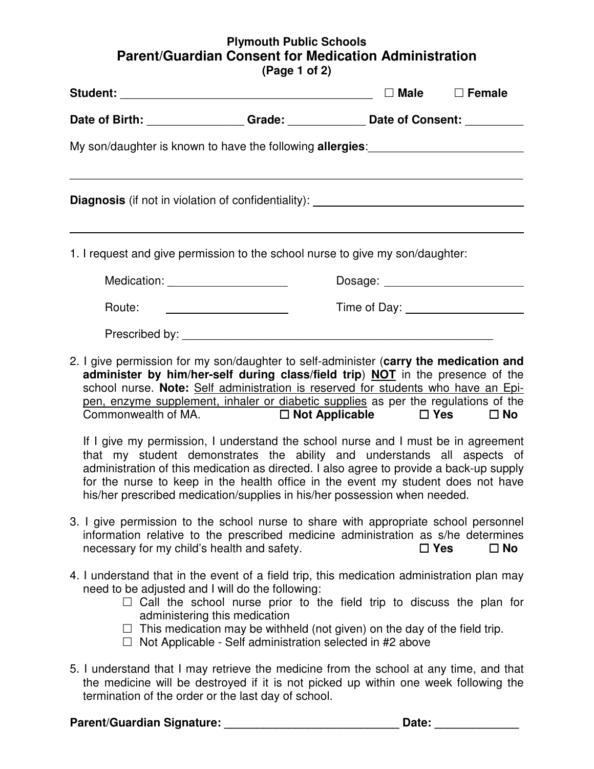## **Plymouth Public Schools Parent/Guardian Consent for Medication Administration (Page 1 of 2)**

|                                                                                                                                                |                                                                                                                                                                                                                                                                                                                                                                                                                                                                                                                                                                                                                                                                                                                                                                  | $\square$ Male                    | $\Box$ Female |  |
|------------------------------------------------------------------------------------------------------------------------------------------------|------------------------------------------------------------------------------------------------------------------------------------------------------------------------------------------------------------------------------------------------------------------------------------------------------------------------------------------------------------------------------------------------------------------------------------------------------------------------------------------------------------------------------------------------------------------------------------------------------------------------------------------------------------------------------------------------------------------------------------------------------------------|-----------------------------------|---------------|--|
| Date of Birth: Change Caracter Consent: Change Consent: Change Consent: Change Consent:                                                        |                                                                                                                                                                                                                                                                                                                                                                                                                                                                                                                                                                                                                                                                                                                                                                  |                                   |               |  |
| My son/daughter is known to have the following <b>allergies</b> :                                                                              |                                                                                                                                                                                                                                                                                                                                                                                                                                                                                                                                                                                                                                                                                                                                                                  |                                   |               |  |
| <b>Diagnosis</b> (if not in violation of confidentiality): ___________________________                                                         |                                                                                                                                                                                                                                                                                                                                                                                                                                                                                                                                                                                                                                                                                                                                                                  |                                   |               |  |
| 1. I request and give permission to the school nurse to give my son/daughter:                                                                  |                                                                                                                                                                                                                                                                                                                                                                                                                                                                                                                                                                                                                                                                                                                                                                  |                                   |               |  |
| Medication: _____________________                                                                                                              |                                                                                                                                                                                                                                                                                                                                                                                                                                                                                                                                                                                                                                                                                                                                                                  |                                   |               |  |
| Route:                                                                                                                                         |                                                                                                                                                                                                                                                                                                                                                                                                                                                                                                                                                                                                                                                                                                                                                                  | Time of Day: ____________________ |               |  |
|                                                                                                                                                |                                                                                                                                                                                                                                                                                                                                                                                                                                                                                                                                                                                                                                                                                                                                                                  |                                   |               |  |
| 2. I give permission for my son/daughter to self-administer (carry the medication and                                                          | administer by him/her-self during class/field trip) NOT in the presence of the<br>school nurse. Note: Self administration is reserved for students who have an Epi-<br>pen, enzyme supplement, inhaler or diabetic supplies as per the regulations of the<br>Commonwealth of MA. $\square$ Not Applicable $\square$ Yes $\square$ No<br>If I give my permission, I understand the school nurse and I must be in agreement<br>that my student demonstrates the ability and understands all aspects of<br>administration of this medication as directed. I also agree to provide a back-up supply<br>for the nurse to keep in the health office in the event my student does not have<br>his/her prescribed medication/supplies in his/her possession when needed. |                                   |               |  |
| 3. I give permission to the school nurse to share with appropriate school personnel<br>necessary for my child's health and safety.             | information relative to the prescribed medicine administration as s/he determines                                                                                                                                                                                                                                                                                                                                                                                                                                                                                                                                                                                                                                                                                | $\Box$ Yes                        | $\square$ No  |  |
| 4. I understand that in the event of a field trip, this medication administration plan may<br>need to be adjusted and I will do the following: | $\Box$ Call the school nurse prior to the field trip to discuss the plan for<br>administering this medication<br>$\Box$ This medication may be withheld (not given) on the day of the field trip.<br>$\Box$ Not Applicable - Self administration selected in #2 above                                                                                                                                                                                                                                                                                                                                                                                                                                                                                            |                                   |               |  |
| 5. I understand that I may retrieve the medicine from the school at any time, and that                                                         | the medicine will be destroyed if it is not picked up within one week following the<br>termination of the order or the last day of school.                                                                                                                                                                                                                                                                                                                                                                                                                                                                                                                                                                                                                       |                                   |               |  |

### **Parent/Guardian Signature: \_\_\_\_\_\_\_\_\_\_\_\_\_\_\_\_\_\_\_\_\_\_\_\_\_\_\_ Date: \_\_\_\_\_\_\_\_\_\_\_\_\_**